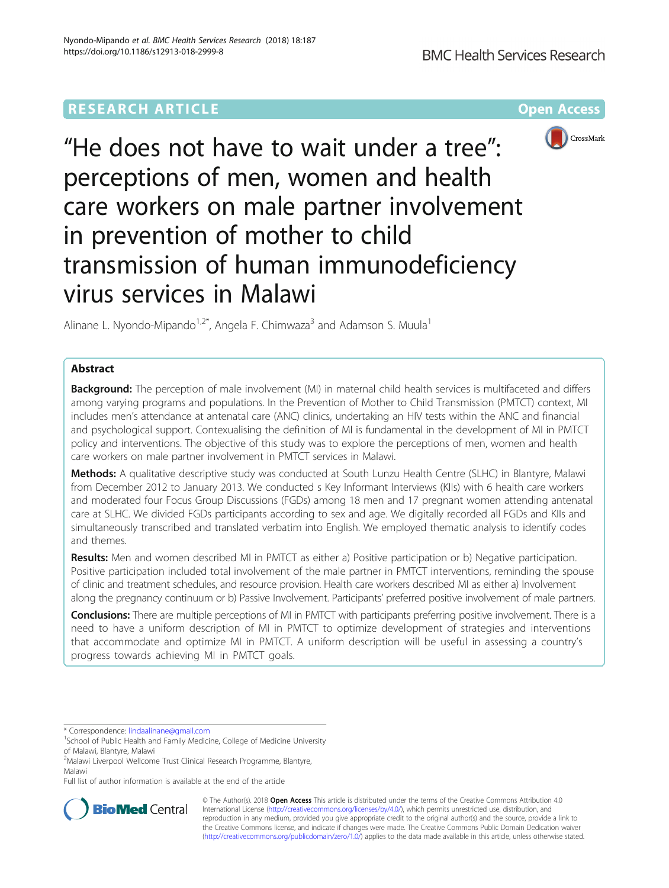# **RESEARCH ARTICLE Example 2014 12:30 The Community Community Community Community Community Community Community**



"He does not have to wait under a tree": perceptions of men, women and health care workers on male partner involvement in prevention of mother to child transmission of human immunodeficiency virus services in Malawi

Alinane L. Nyondo-Mipando<sup>1,2\*</sup>, Angela F. Chimwaza<sup>3</sup> and Adamson S. Muula<sup>1</sup>

# Abstract

Background: The perception of male involvement (MI) in maternal child health services is multifaceted and differs among varying programs and populations. In the Prevention of Mother to Child Transmission (PMTCT) context, MI includes men's attendance at antenatal care (ANC) clinics, undertaking an HIV tests within the ANC and financial and psychological support. Contexualising the definition of MI is fundamental in the development of MI in PMTCT policy and interventions. The objective of this study was to explore the perceptions of men, women and health care workers on male partner involvement in PMTCT services in Malawi.

Methods: A qualitative descriptive study was conducted at South Lunzu Health Centre (SLHC) in Blantyre, Malawi from December 2012 to January 2013. We conducted s Key Informant Interviews (KIIs) with 6 health care workers and moderated four Focus Group Discussions (FGDs) among 18 men and 17 pregnant women attending antenatal care at SLHC. We divided FGDs participants according to sex and age. We digitally recorded all FGDs and KIIs and simultaneously transcribed and translated verbatim into English. We employed thematic analysis to identify codes and themes.

Results: Men and women described MI in PMTCT as either a) Positive participation or b) Negative participation. Positive participation included total involvement of the male partner in PMTCT interventions, reminding the spouse of clinic and treatment schedules, and resource provision. Health care workers described MI as either a) Involvement along the pregnancy continuum or b) Passive Involvement. Participants' preferred positive involvement of male partners.

**Conclusions:** There are multiple perceptions of MI in PMTCT with participants preferring positive involvement. There is a need to have a uniform description of MI in PMTCT to optimize development of strategies and interventions that accommodate and optimize MI in PMTCT. A uniform description will be useful in assessing a country's progress towards achieving MI in PMTCT goals.

Full list of author information is available at the end of the article



© The Author(s). 2018 Open Access This article is distributed under the terms of the Creative Commons Attribution 4.0 International License [\(http://creativecommons.org/licenses/by/4.0/](http://creativecommons.org/licenses/by/4.0/)), which permits unrestricted use, distribution, and reproduction in any medium, provided you give appropriate credit to the original author(s) and the source, provide a link to the Creative Commons license, and indicate if changes were made. The Creative Commons Public Domain Dedication waiver [\(http://creativecommons.org/publicdomain/zero/1.0/](http://creativecommons.org/publicdomain/zero/1.0/)) applies to the data made available in this article, unless otherwise stated.

<sup>\*</sup> Correspondence: [lindaalinane@gmail.com](mailto:lindaalinane@gmail.com) <sup>1</sup>

<sup>&</sup>lt;sup>1</sup>School of Public Health and Family Medicine, College of Medicine University of Malawi, Blantyre, Malawi

<sup>&</sup>lt;sup>2</sup>Malawi Liverpool Wellcome Trust Clinical Research Programme, Blantyre, Malawi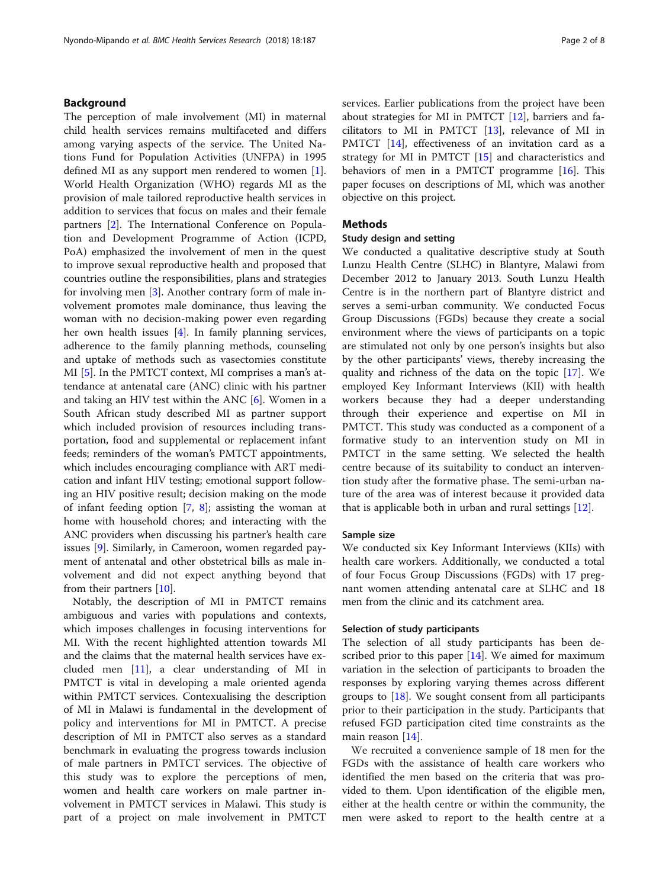# Background

The perception of male involvement (MI) in maternal child health services remains multifaceted and differs among varying aspects of the service. The United Nations Fund for Population Activities (UNFPA) in 1995 defined MI as any support men rendered to women [\[1](#page-7-0)]. World Health Organization (WHO) regards MI as the provision of male tailored reproductive health services in addition to services that focus on males and their female partners [\[2](#page-7-0)]. The International Conference on Population and Development Programme of Action (ICPD, PoA) emphasized the involvement of men in the quest to improve sexual reproductive health and proposed that countries outline the responsibilities, plans and strategies for involving men [[3](#page-7-0)]. Another contrary form of male involvement promotes male dominance, thus leaving the woman with no decision-making power even regarding her own health issues [\[4](#page-7-0)]. In family planning services, adherence to the family planning methods, counseling and uptake of methods such as vasectomies constitute MI [\[5\]](#page-7-0). In the PMTCT context, MI comprises a man's attendance at antenatal care (ANC) clinic with his partner and taking an HIV test within the ANC  $[6]$  $[6]$ . Women in a South African study described MI as partner support which included provision of resources including transportation, food and supplemental or replacement infant feeds; reminders of the woman's PMTCT appointments, which includes encouraging compliance with ART medication and infant HIV testing; emotional support following an HIV positive result; decision making on the mode of infant feeding option [[7,](#page-7-0) [8](#page-7-0)]; assisting the woman at home with household chores; and interacting with the ANC providers when discussing his partner's health care issues [[9\]](#page-7-0). Similarly, in Cameroon, women regarded payment of antenatal and other obstetrical bills as male involvement and did not expect anything beyond that from their partners [\[10](#page-7-0)].

Notably, the description of MI in PMTCT remains ambiguous and varies with populations and contexts, which imposes challenges in focusing interventions for MI. With the recent highlighted attention towards MI and the claims that the maternal health services have excluded men [[11\]](#page-7-0), a clear understanding of MI in PMTCT is vital in developing a male oriented agenda within PMTCT services. Contexualising the description of MI in Malawi is fundamental in the development of policy and interventions for MI in PMTCT. A precise description of MI in PMTCT also serves as a standard benchmark in evaluating the progress towards inclusion of male partners in PMTCT services. The objective of this study was to explore the perceptions of men, women and health care workers on male partner involvement in PMTCT services in Malawi. This study is part of a project on male involvement in PMTCT services. Earlier publications from the project have been about strategies for MI in PMTCT [[12\]](#page-7-0), barriers and facilitators to MI in PMTCT [\[13](#page-7-0)], relevance of MI in PMTCT [[14](#page-7-0)], effectiveness of an invitation card as a strategy for MI in PMTCT [[15](#page-7-0)] and characteristics and behaviors of men in a PMTCT programme  $[16]$  $[16]$  $[16]$ . This paper focuses on descriptions of MI, which was another objective on this project.

# **Methods**

### Study design and setting

We conducted a qualitative descriptive study at South Lunzu Health Centre (SLHC) in Blantyre, Malawi from December 2012 to January 2013. South Lunzu Health Centre is in the northern part of Blantyre district and serves a semi-urban community. We conducted Focus Group Discussions (FGDs) because they create a social environment where the views of participants on a topic are stimulated not only by one person's insights but also by the other participants' views, thereby increasing the quality and richness of the data on the topic [[17\]](#page-7-0). We employed Key Informant Interviews (KII) with health workers because they had a deeper understanding through their experience and expertise on MI in PMTCT. This study was conducted as a component of a formative study to an intervention study on MI in PMTCT in the same setting. We selected the health centre because of its suitability to conduct an intervention study after the formative phase. The semi-urban nature of the area was of interest because it provided data that is applicable both in urban and rural settings [[12\]](#page-7-0).

# Sample size

We conducted six Key Informant Interviews (KIIs) with health care workers. Additionally, we conducted a total of four Focus Group Discussions (FGDs) with 17 pregnant women attending antenatal care at SLHC and 18 men from the clinic and its catchment area.

### Selection of study participants

The selection of all study participants has been de-scribed prior to this paper [[14](#page-7-0)]. We aimed for maximum variation in the selection of participants to broaden the responses by exploring varying themes across different groups to [\[18\]](#page-7-0). We sought consent from all participants prior to their participation in the study. Participants that refused FGD participation cited time constraints as the main reason [\[14](#page-7-0)].

We recruited a convenience sample of 18 men for the FGDs with the assistance of health care workers who identified the men based on the criteria that was provided to them. Upon identification of the eligible men, either at the health centre or within the community, the men were asked to report to the health centre at a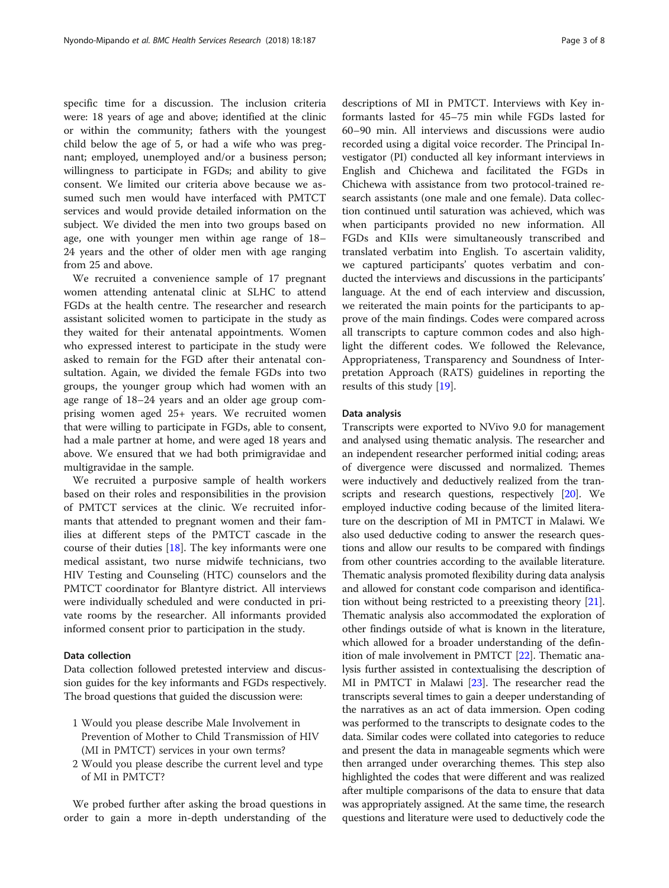specific time for a discussion. The inclusion criteria were: 18 years of age and above; identified at the clinic or within the community; fathers with the youngest child below the age of 5, or had a wife who was pregnant; employed, unemployed and/or a business person; willingness to participate in FGDs; and ability to give consent. We limited our criteria above because we assumed such men would have interfaced with PMTCT services and would provide detailed information on the subject. We divided the men into two groups based on age, one with younger men within age range of 18– 24 years and the other of older men with age ranging from 25 and above.

We recruited a convenience sample of 17 pregnant women attending antenatal clinic at SLHC to attend FGDs at the health centre. The researcher and research assistant solicited women to participate in the study as they waited for their antenatal appointments. Women who expressed interest to participate in the study were asked to remain for the FGD after their antenatal consultation. Again, we divided the female FGDs into two groups, the younger group which had women with an age range of 18–24 years and an older age group comprising women aged 25+ years. We recruited women that were willing to participate in FGDs, able to consent, had a male partner at home, and were aged 18 years and above. We ensured that we had both primigravidae and multigravidae in the sample.

We recruited a purposive sample of health workers based on their roles and responsibilities in the provision of PMTCT services at the clinic. We recruited informants that attended to pregnant women and their families at different steps of the PMTCT cascade in the course of their duties [[18\]](#page-7-0). The key informants were one medical assistant, two nurse midwife technicians, two HIV Testing and Counseling (HTC) counselors and the PMTCT coordinator for Blantyre district. All interviews were individually scheduled and were conducted in private rooms by the researcher. All informants provided informed consent prior to participation in the study.

### Data collection

Data collection followed pretested interview and discussion guides for the key informants and FGDs respectively. The broad questions that guided the discussion were:

- 1 Would you please describe Male Involvement in Prevention of Mother to Child Transmission of HIV (MI in PMTCT) services in your own terms?
- 2 Would you please describe the current level and type of MI in PMTCT?

We probed further after asking the broad questions in order to gain a more in-depth understanding of the

descriptions of MI in PMTCT. Interviews with Key informants lasted for 45–75 min while FGDs lasted for 60–90 min. All interviews and discussions were audio recorded using a digital voice recorder. The Principal Investigator (PI) conducted all key informant interviews in English and Chichewa and facilitated the FGDs in Chichewa with assistance from two protocol-trained research assistants (one male and one female). Data collection continued until saturation was achieved, which was when participants provided no new information. All FGDs and KIIs were simultaneously transcribed and translated verbatim into English. To ascertain validity, we captured participants' quotes verbatim and conducted the interviews and discussions in the participants' language. At the end of each interview and discussion, we reiterated the main points for the participants to approve of the main findings. Codes were compared across all transcripts to capture common codes and also highlight the different codes. We followed the Relevance, Appropriateness, Transparency and Soundness of Interpretation Approach (RATS) guidelines in reporting the results of this study [\[19\]](#page-7-0).

#### Data analysis

Transcripts were exported to NVivo 9.0 for management and analysed using thematic analysis. The researcher and an independent researcher performed initial coding; areas of divergence were discussed and normalized. Themes were inductively and deductively realized from the tran-scripts and research questions, respectively [[20](#page-7-0)]. We employed inductive coding because of the limited literature on the description of MI in PMTCT in Malawi. We also used deductive coding to answer the research questions and allow our results to be compared with findings from other countries according to the available literature. Thematic analysis promoted flexibility during data analysis and allowed for constant code comparison and identification without being restricted to a preexisting theory [[21](#page-7-0)]. Thematic analysis also accommodated the exploration of other findings outside of what is known in the literature, which allowed for a broader understanding of the definition of male involvement in PMTCT [\[22\]](#page-7-0). Thematic analysis further assisted in contextualising the description of MI in PMTCT in Malawi [[23](#page-7-0)]. The researcher read the transcripts several times to gain a deeper understanding of the narratives as an act of data immersion. Open coding was performed to the transcripts to designate codes to the data. Similar codes were collated into categories to reduce and present the data in manageable segments which were then arranged under overarching themes. This step also highlighted the codes that were different and was realized after multiple comparisons of the data to ensure that data was appropriately assigned. At the same time, the research questions and literature were used to deductively code the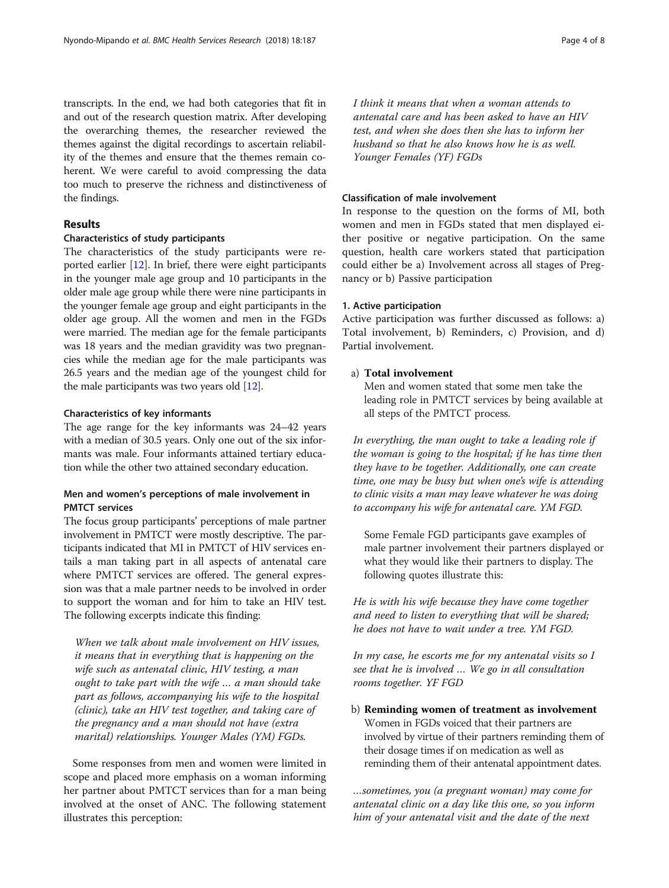transcripts. In the end, we had both categories that fit in and out of the research question matrix. After developing the overarching themes, the researcher reviewed the themes against the digital recordings to ascertain reliability of the themes and ensure that the themes remain coherent. We were careful to avoid compressing the data too much to preserve the richness and distinctiveness of the findings.

# Results

## Characteristics of study participants

The characteristics of the study participants were reported earlier  $[12]$  $[12]$  $[12]$ . In brief, there were eight participants in the younger male age group and 10 participants in the older male age group while there were nine participants in the younger female age group and eight participants in the older age group. All the women and men in the FGDs were married. The median age for the female participants was 18 years and the median gravidity was two pregnancies while the median age for the male participants was 26.5 years and the median age of the youngest child for the male participants was two years old [[12](#page-7-0)].

### Characteristics of key informants

The age range for the key informants was 24–42 years with a median of 30.5 years. Only one out of the six informants was male. Four informants attained tertiary education while the other two attained secondary education.

# Men and women's perceptions of male involvement in PMTCT services

The focus group participants' perceptions of male partner involvement in PMTCT were mostly descriptive. The participants indicated that MI in PMTCT of HIV services entails a man taking part in all aspects of antenatal care where PMTCT services are offered. The general expression was that a male partner needs to be involved in order to support the woman and for him to take an HIV test. The following excerpts indicate this finding:

When we talk about male involvement on HIV issues, it means that in everything that is happening on the wife such as antenatal clinic, HIV testing, a man ought to take part with the wife … a man should take part as follows, accompanying his wife to the hospital (clinic), take an HIV test together, and taking care of the pregnancy and a man should not have (extra marital) relationships. Younger Males (YM) FGDs.

Some responses from men and women were limited in scope and placed more emphasis on a woman informing her partner about PMTCT services than for a man being involved at the onset of ANC. The following statement illustrates this perception:

I think it means that when a woman attends to antenatal care and has been asked to have an HIV test, and when she does then she has to inform her husband so that he also knows how he is as well. Younger Females (YF) FGDs

### Classification of male involvement

In response to the question on the forms of MI, both women and men in FGDs stated that men displayed either positive or negative participation. On the same question, health care workers stated that participation could either be a) Involvement across all stages of Pregnancy or b) Passive participation

### 1. Active participation

Active participation was further discussed as follows: a) Total involvement, b) Reminders, c) Provision, and d) Partial involvement.

# a) Total involvement

Men and women stated that some men take the leading role in PMTCT services by being available at all steps of the PMTCT process.

In everything, the man ought to take a leading role if the woman is going to the hospital; if he has time then they have to be together. Additionally, one can create time, one may be busy but when one's wife is attending to clinic visits a man may leave whatever he was doing to accompany his wife for antenatal care. YM FGD.

Some Female FGD participants gave examples of male partner involvement their partners displayed or what they would like their partners to display. The following quotes illustrate this:

He is with his wife because they have come together and need to listen to everything that will be shared; he does not have to wait under a tree. YM FGD.

In my case, he escorts me for my antenatal visits so I see that he is involved … We go in all consultation rooms together. YF FGD

# b) Reminding women of treatment as involvement Women in FGDs voiced that their partners are involved by virtue of their partners reminding them of their dosage times if on medication as well as reminding them of their antenatal appointment dates.

…sometimes, you (a pregnant woman) may come for antenatal clinic on a day like this one, so you inform him of your antenatal visit and the date of the next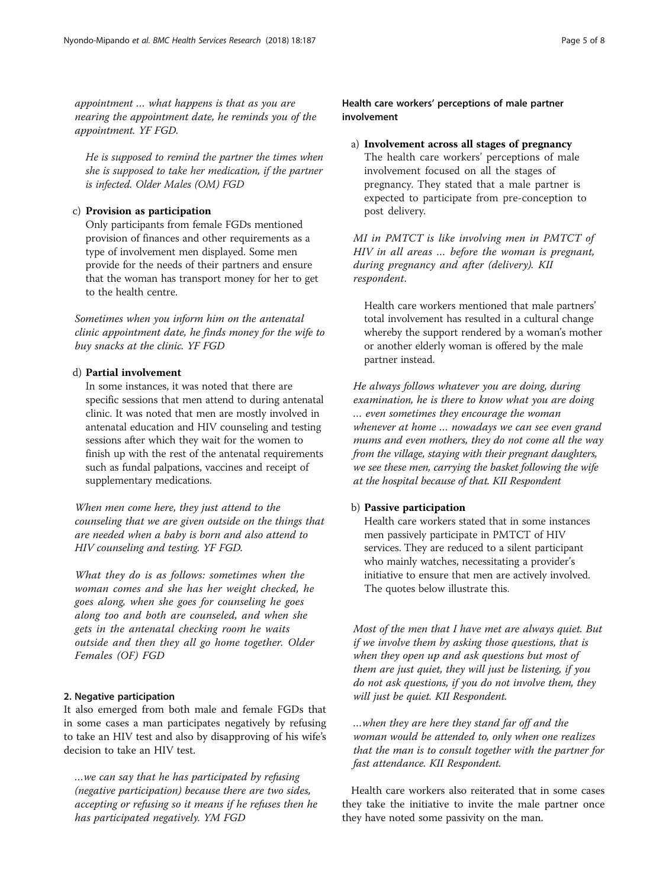appointment … what happens is that as you are nearing the appointment date, he reminds you of the appointment. YF FGD.

He is supposed to remind the partner the times when she is supposed to take her medication, if the partner is infected. Older Males (OM) FGD

# c) Provision as participation

Only participants from female FGDs mentioned provision of finances and other requirements as a type of involvement men displayed. Some men provide for the needs of their partners and ensure that the woman has transport money for her to get to the health centre.

Sometimes when you inform him on the antenatal clinic appointment date, he finds money for the wife to buy snacks at the clinic. YF FGD

# d) Partial involvement

In some instances, it was noted that there are specific sessions that men attend to during antenatal clinic. It was noted that men are mostly involved in antenatal education and HIV counseling and testing sessions after which they wait for the women to finish up with the rest of the antenatal requirements such as fundal palpations, vaccines and receipt of supplementary medications.

When men come here, they just attend to the counseling that we are given outside on the things that are needed when a baby is born and also attend to HIV counseling and testing. YF FGD.

What they do is as follows: sometimes when the woman comes and she has her weight checked, he goes along, when she goes for counseling he goes along too and both are counseled, and when she gets in the antenatal checking room he waits outside and then they all go home together. Older Females (OF) FGD

# 2. Negative participation

It also emerged from both male and female FGDs that in some cases a man participates negatively by refusing to take an HIV test and also by disapproving of his wife's decision to take an HIV test.

…we can say that he has participated by refusing (negative participation) because there are two sides, accepting or refusing so it means if he refuses then he has participated negatively. YM FGD

Health care workers' perceptions of male partner involvement

a) Involvement across all stages of pregnancy The health care workers' perceptions of male involvement focused on all the stages of pregnancy. They stated that a male partner is expected to participate from pre-conception to post delivery.

MI in PMTCT is like involving men in PMTCT of HIV in all areas … before the woman is pregnant, during pregnancy and after (delivery). KII respondent.

Health care workers mentioned that male partners' total involvement has resulted in a cultural change whereby the support rendered by a woman's mother or another elderly woman is offered by the male partner instead.

He always follows whatever you are doing, during examination, he is there to know what you are doing … even sometimes they encourage the woman whenever at home ... nowadays we can see even grand mums and even mothers, they do not come all the way from the village, staying with their pregnant daughters, we see these men, carrying the basket following the wife at the hospital because of that. KII Respondent

# b) Passive participation

Health care workers stated that in some instances men passively participate in PMTCT of HIV services. They are reduced to a silent participant who mainly watches, necessitating a provider's initiative to ensure that men are actively involved. The quotes below illustrate this.

Most of the men that I have met are always quiet. But if we involve them by asking those questions, that is when they open up and ask questions but most of them are just quiet, they will just be listening, if you do not ask questions, if you do not involve them, they will just be quiet. KII Respondent.

…when they are here they stand far off and the woman would be attended to, only when one realizes that the man is to consult together with the partner for fast attendance. KII Respondent.

Health care workers also reiterated that in some cases they take the initiative to invite the male partner once they have noted some passivity on the man.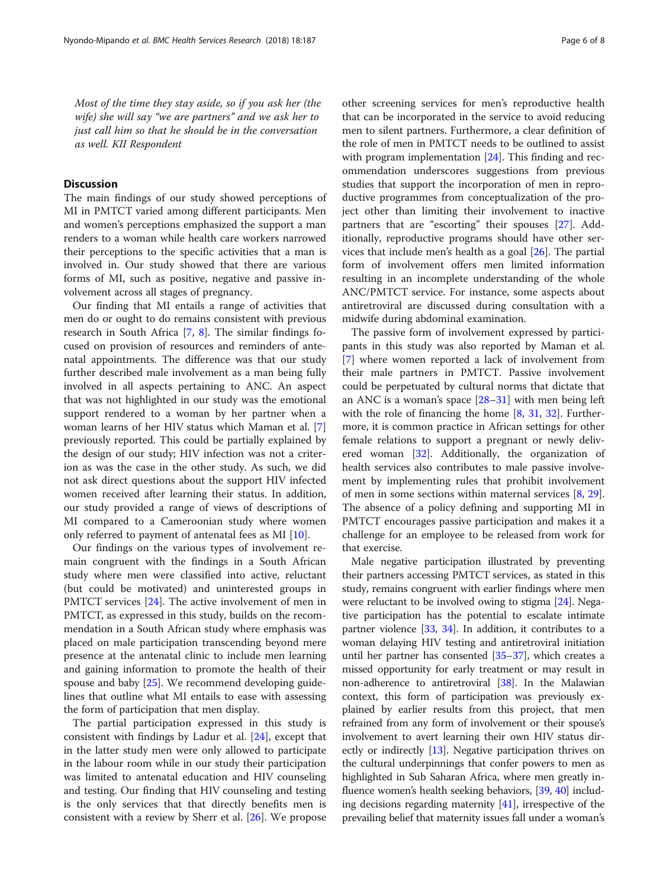Most of the time they stay aside, so if you ask her (the wife) she will say "we are partners" and we ask her to just call him so that he should be in the conversation as well. KII Respondent

# **Discussion**

The main findings of our study showed perceptions of MI in PMTCT varied among different participants. Men and women's perceptions emphasized the support a man renders to a woman while health care workers narrowed their perceptions to the specific activities that a man is involved in. Our study showed that there are various forms of MI, such as positive, negative and passive involvement across all stages of pregnancy.

Our finding that MI entails a range of activities that men do or ought to do remains consistent with previous research in South Africa [\[7,](#page-7-0) [8\]](#page-7-0). The similar findings focused on provision of resources and reminders of antenatal appointments. The difference was that our study further described male involvement as a man being fully involved in all aspects pertaining to ANC. An aspect that was not highlighted in our study was the emotional support rendered to a woman by her partner when a woman learns of her HIV status which Maman et al. [\[7](#page-7-0)] previously reported. This could be partially explained by the design of our study; HIV infection was not a criterion as was the case in the other study. As such, we did not ask direct questions about the support HIV infected women received after learning their status. In addition, our study provided a range of views of descriptions of MI compared to a Cameroonian study where women only referred to payment of antenatal fees as MI [[10\]](#page-7-0).

Our findings on the various types of involvement remain congruent with the findings in a South African study where men were classified into active, reluctant (but could be motivated) and uninterested groups in PMTCT services [[24\]](#page-7-0). The active involvement of men in PMTCT, as expressed in this study, builds on the recommendation in a South African study where emphasis was placed on male participation transcending beyond mere presence at the antenatal clinic to include men learning and gaining information to promote the health of their spouse and baby [\[25](#page-7-0)]. We recommend developing guidelines that outline what MI entails to ease with assessing the form of participation that men display.

The partial participation expressed in this study is consistent with findings by Ladur et al. [\[24\]](#page-7-0), except that in the latter study men were only allowed to participate in the labour room while in our study their participation was limited to antenatal education and HIV counseling and testing. Our finding that HIV counseling and testing is the only services that that directly benefits men is consistent with a review by Sherr et al. [\[26](#page-7-0)]. We propose other screening services for men's reproductive health that can be incorporated in the service to avoid reducing men to silent partners. Furthermore, a clear definition of the role of men in PMTCT needs to be outlined to assist with program implementation [\[24\]](#page-7-0). This finding and recommendation underscores suggestions from previous studies that support the incorporation of men in reproductive programmes from conceptualization of the project other than limiting their involvement to inactive partners that are "escorting" their spouses [\[27\]](#page-7-0). Additionally, reproductive programs should have other services that include men's health as a goal [\[26](#page-7-0)]. The partial form of involvement offers men limited information resulting in an incomplete understanding of the whole ANC/PMTCT service. For instance, some aspects about antiretroviral are discussed during consultation with a midwife during abdominal examination.

The passive form of involvement expressed by participants in this study was also reported by Maman et al. [[7\]](#page-7-0) where women reported a lack of involvement from their male partners in PMTCT. Passive involvement could be perpetuated by cultural norms that dictate that an ANC is a woman's space [\[28](#page-7-0)–[31\]](#page-7-0) with men being left with the role of financing the home  $[8, 31, 32]$  $[8, 31, 32]$  $[8, 31, 32]$  $[8, 31, 32]$  $[8, 31, 32]$ . Furthermore, it is common practice in African settings for other female relations to support a pregnant or newly delivered woman [\[32\]](#page-7-0). Additionally, the organization of health services also contributes to male passive involvement by implementing rules that prohibit involvement of men in some sections within maternal services [\[8](#page-7-0), [29](#page-7-0)]. The absence of a policy defining and supporting MI in PMTCT encourages passive participation and makes it a challenge for an employee to be released from work for that exercise.

Male negative participation illustrated by preventing their partners accessing PMTCT services, as stated in this study, remains congruent with earlier findings where men were reluctant to be involved owing to stigma [[24](#page-7-0)]. Negative participation has the potential to escalate intimate partner violence [[33,](#page-7-0) [34](#page-7-0)]. In addition, it contributes to a woman delaying HIV testing and antiretroviral initiation until her partner has consented [\[35](#page-7-0)–[37](#page-7-0)], which creates a missed opportunity for early treatment or may result in non-adherence to antiretroviral [[38](#page-7-0)]. In the Malawian context, this form of participation was previously explained by earlier results from this project, that men refrained from any form of involvement or their spouse's involvement to avert learning their own HIV status dir-ectly or indirectly [[13](#page-7-0)]. Negative participation thrives on the cultural underpinnings that confer powers to men as highlighted in Sub Saharan Africa, where men greatly influence women's health seeking behaviors, [[39](#page-7-0), [40](#page-7-0)] including decisions regarding maternity [\[41\]](#page-7-0), irrespective of the prevailing belief that maternity issues fall under a woman's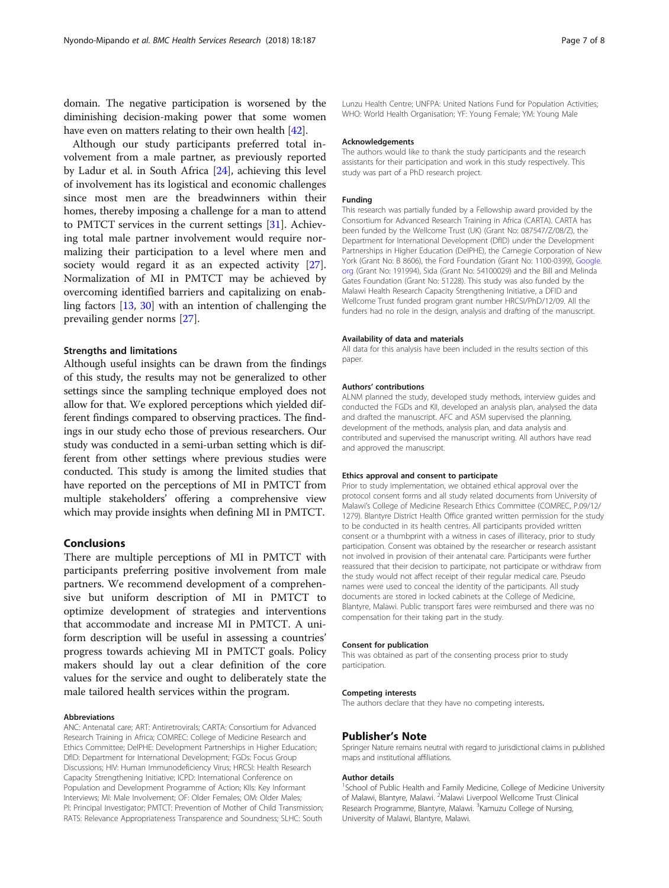domain. The negative participation is worsened by the diminishing decision-making power that some women have even on matters relating to their own health [\[42\]](#page-7-0).

Although our study participants preferred total involvement from a male partner, as previously reported by Ladur et al. in South Africa [[24\]](#page-7-0), achieving this level of involvement has its logistical and economic challenges since most men are the breadwinners within their homes, thereby imposing a challenge for a man to attend to PMTCT services in the current settings [\[31](#page-7-0)]. Achieving total male partner involvement would require normalizing their participation to a level where men and society would regard it as an expected activity [\[27](#page-7-0)]. Normalization of MI in PMTCT may be achieved by overcoming identified barriers and capitalizing on enabling factors [\[13](#page-7-0), [30\]](#page-7-0) with an intention of challenging the prevailing gender norms [[27\]](#page-7-0).

#### Strengths and limitations

Although useful insights can be drawn from the findings of this study, the results may not be generalized to other settings since the sampling technique employed does not allow for that. We explored perceptions which yielded different findings compared to observing practices. The findings in our study echo those of previous researchers. Our study was conducted in a semi-urban setting which is different from other settings where previous studies were conducted. This study is among the limited studies that have reported on the perceptions of MI in PMTCT from multiple stakeholders' offering a comprehensive view which may provide insights when defining MI in PMTCT.

### Conclusions

There are multiple perceptions of MI in PMTCT with participants preferring positive involvement from male partners. We recommend development of a comprehensive but uniform description of MI in PMTCT to optimize development of strategies and interventions that accommodate and increase MI in PMTCT. A uniform description will be useful in assessing a countries' progress towards achieving MI in PMTCT goals. Policy makers should lay out a clear definition of the core values for the service and ought to deliberately state the male tailored health services within the program.

# Abbreviations

ANC: Antenatal care; ART: Antiretrovirals; CARTA: Consortium for Advanced Research Training in Africa; COMREC: College of Medicine Research and Ethics Committee; DelPHE: Development Partnerships in Higher Education; DfID: Department for International Development; FGDs: Focus Group Discussions; HIV: Human Immunodeficiency Virus; HRCSI: Health Research Capacity Strengthening Initiative; ICPD: International Conference on Population and Development Programme of Action; KIIs: Key Informant Interviews; MI: Male Involvement; OF: Older Females; OM: Older Males; PI: Principal Investigator; PMTCT: Prevention of Mother of Child Transmission; RATS: Relevance Appropriateness Transparence and Soundness; SLHC: South

Lunzu Health Centre; UNFPA: United Nations Fund for Population Activities; WHO: World Health Organisation; YF: Young Female; YM: Young Male

#### Acknowledgements

The authors would like to thank the study participants and the research assistants for their participation and work in this study respectively. This study was part of a PhD research project.

#### Funding

This research was partially funded by a Fellowship award provided by the Consortium for Advanced Research Training in Africa (CARTA). CARTA has been funded by the Wellcome Trust (UK) (Grant No: 087547/Z/08/Z), the Department for International Development (DfID) under the Development Partnerships in Higher Education (DelPHE), the Carnegie Corporation of New York (Grant No: B 8606), the Ford Foundation (Grant No: 1100-0399), [Google.](http://google.org) [org](http://google.org) (Grant No: 191994), Sida (Grant No: 54100029) and the Bill and Melinda Gates Foundation (Grant No: 51228). This study was also funded by the Malawi Health Research Capacity Strengthening Initiative, a DFID and Wellcome Trust funded program grant number HRCSI/PhD/12/09. All the funders had no role in the design, analysis and drafting of the manuscript.

#### Availability of data and materials

All data for this analysis have been included in the results section of this paper.

#### Authors' contributions

ALNM planned the study, developed study methods, interview guides and conducted the FGDs and KII, developed an analysis plan, analysed the data and drafted the manuscript. AFC and ASM supervised the planning, development of the methods, analysis plan, and data analysis and contributed and supervised the manuscript writing. All authors have read and approved the manuscript.

#### Ethics approval and consent to participate

Prior to study implementation, we obtained ethical approval over the protocol consent forms and all study related documents from University of Malawi's College of Medicine Research Ethics Committee (COMREC, P.09/12/ 1279). Blantyre District Health Office granted written permission for the study to be conducted in its health centres. All participants provided written consent or a thumbprint with a witness in cases of illiteracy, prior to study participation. Consent was obtained by the researcher or research assistant not involved in provision of their antenatal care. Participants were further reassured that their decision to participate, not participate or withdraw from the study would not affect receipt of their regular medical care. Pseudo names were used to conceal the identity of the participants. All study documents are stored in locked cabinets at the College of Medicine, Blantyre, Malawi. Public transport fares were reimbursed and there was no compensation for their taking part in the study.

#### Consent for publication

This was obtained as part of the consenting process prior to study participation.

#### Competing interests

The authors declare that they have no competing interests.

### Publisher's Note

Springer Nature remains neutral with regard to jurisdictional claims in published maps and institutional affiliations.

#### Author details

<sup>1</sup>School of Public Health and Family Medicine, College of Medicine University of Malawi, Blantyre, Malawi. <sup>2</sup>Malawi Liverpool Wellcome Trust Clinical Research Programme, Blantyre, Malawi. <sup>3</sup>Kamuzu College of Nursing University of Malawi, Blantyre, Malawi.